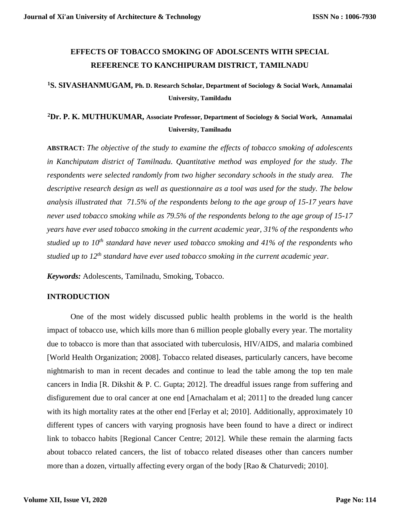# **EFFECTS OF TOBACCO SMOKING OF ADOLSCENTS WITH SPECIAL REFERENCE TO KANCHIPURAM DISTRICT, TAMILNADU**

# **<sup>1</sup>S. SIVASHANMUGAM, Ph. D. Research Scholar, Department of Sociology & Social Work, Annamalai University, Tamildadu**

# **<sup>2</sup>Dr. P. K. MUTHUKUMAR, Associate Professor, Department of Sociology & Social Work, Annamalai University, Tamilnadu**

**ABSTRACT:** *The objective of the study to examine the effects of tobacco smoking of adolescents in Kanchiputam district of Tamilnadu. Quantitative method was employed for the study. The respondents were selected randomly from two higher secondary schools in the study area. The descriptive research design as well as questionnaire as a tool was used for the study. The below analysis illustrated that 71.5% of the respondents belong to the age group of 15-17 years have never used tobacco smoking while as 79.5% of the respondents belong to the age group of 15-17 years have ever used tobacco smoking in the current academic year, 31% of the respondents who studied up to 10th standard have never used tobacco smoking and 41% of the respondents who studied up to 12th standard have ever used tobacco smoking in the current academic year.*

*Keywords:* Adolescents, Tamilnadu, Smoking, Tobacco.

## **INTRODUCTION**

One of the most widely discussed public health problems in the world is the health impact of tobacco use, which kills more than 6 million people globally every year. The mortality due to tobacco is more than that associated with tuberculosis, HIV/AIDS, and malaria combined [World Health Organization; 2008]. Tobacco related diseases, particularly cancers, have become nightmarish to man in recent decades and continue to lead the table among the top ten male cancers in India [R. Dikshit & P. C. Gupta; 2012]. The dreadful issues range from suffering and disfigurement due to oral cancer at one end [Arnachalam et al; 2011] to the dreaded lung cancer with its high mortality rates at the other end [Ferlay et al; 2010]. Additionally, approximately 10 different types of cancers with varying prognosis have been found to have a direct or indirect link to tobacco habits [Regional Cancer Centre; 2012]. While these remain the alarming facts about tobacco related cancers, the list of tobacco related diseases other than cancers number more than a dozen, virtually affecting every organ of the body [Rao & Chaturvedi; 2010].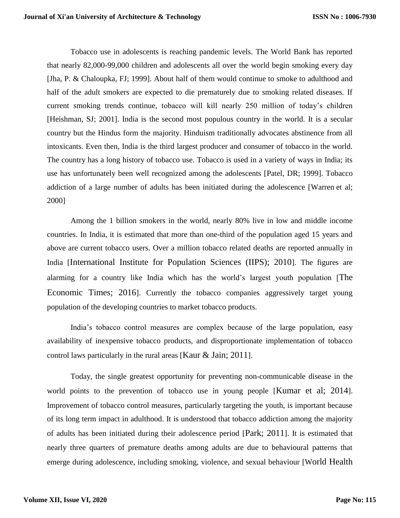Tobacco use in adolescents is reaching pandemic levels. The World Bank has reported that nearly 82,000-99,000 children and adolescents all over the world begin smoking every day [Jha, P. & Chaloupka, FJ; 1999]. About half of them would continue to smoke to adulthood and half of the adult smokers are expected to die prematurely due to smoking related diseases. If current smoking trends continue, tobacco will kill nearly 250 million of today's children [Heishman, SJ; 2001]. India is the second most populous country in the world. It is a secular country but the Hindus form the majority. Hinduism traditionally advocates abstinence from all intoxicants. Even then, India is the third largest producer and consumer of tobacco in the world. The country has a long history of tobacco use. Tobacco is used in a variety of ways in India; its use has unfortunately been well recognized among the adolescents [Patel, DR; 1999]. Tobacco addiction of a large number of adults has been initiated during the adolescence [Warren et al; 2000]

Among the 1 billion smokers in the world, nearly 80% live in low and middle income countries. In India, it is estimated that more than one-third of the population aged 15 years and above are current tobacco users. Over a million tobacco related deaths are reported annually in India [International Institute for Population Sciences (IIPS); 2010]. The figures are alarming for a country like India which has the world's largest youth population [The Economic Times; 2016]. Currently the tobacco companies aggressively target young population of the developing countries to market tobacco products.

India's tobacco control measures are complex because of the large population, easy availability of inexpensive tobacco products, and disproportionate implementation of tobacco control laws particularly in the rural areas [Kaur & Jain; 2011].

Today, the single greatest opportunity for preventing non-communicable disease in the world points to the prevention of tobacco use in young people [Kumar et al; 2014]. Improvement of tobacco control measures, particularly targeting the youth, is important because of its long term impact in adulthood. It is understood that tobacco addiction among the majority of adults has been initiated during their adolescence period [Park; 2011]. It is estimated that nearly three quarters of premature deaths among adults are due to behavioural patterns that emerge during adolescence, including smoking, violence, and sexual behaviour [World Health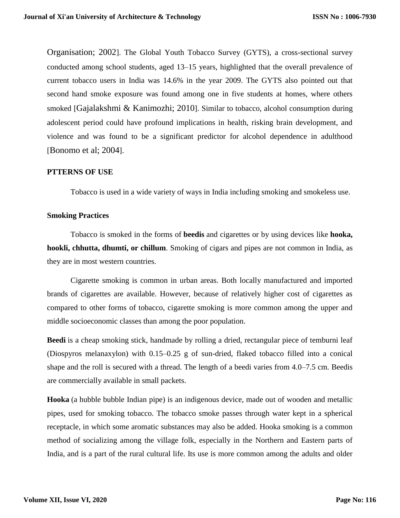Organisation; 2002]. The Global Youth Tobacco Survey (GYTS), a cross-sectional survey conducted among school students, aged 13–15 years, highlighted that the overall prevalence of current tobacco users in India was 14.6% in the year 2009. The GYTS also pointed out that second hand smoke exposure was found among one in five students at homes, where others smoked [Gajalakshmi & Kanimozhi; 2010]. Similar to tobacco, alcohol consumption during adolescent period could have profound implications in health, risking brain development, and violence and was found to be a significant predictor for alcohol dependence in adulthood [Bonomo et al; 2004].

#### **PTTERNS OF USE**

Tobacco is used in a wide variety of ways in India including smoking and smokeless use.

## **Smoking Practices**

Tobacco is smoked in the forms of **beedis** and cigarettes or by using devices like **hooka, hookli, chhutta, dhumti, or chillum**. Smoking of cigars and pipes are not common in India, as they are in most western countries.

Cigarette smoking is common in urban areas. Both locally manufactured and imported brands of cigarettes are available. However, because of relatively higher cost of cigarettes as compared to other forms of tobacco, cigarette smoking is more common among the upper and middle socioeconomic classes than among the poor population.

**Beedi** is a cheap smoking stick, handmade by rolling a dried, rectangular piece of temburni leaf (Diospyros melanaxylon) with 0.15–0.25 g of sun-dried, flaked tobacco filled into a conical shape and the roll is secured with a thread. The length of a beedi varies from 4.0–7.5 cm. Beedis are commercially available in small packets.

**Hooka** (a hubble bubble Indian pipe) is an indigenous device, made out of wooden and metallic pipes, used for smoking tobacco. The tobacco smoke passes through water kept in a spherical receptacle, in which some aromatic substances may also be added. Hooka smoking is a common method of socializing among the village folk, especially in the Northern and Eastern parts of India, and is a part of the rural cultural life. Its use is more common among the adults and older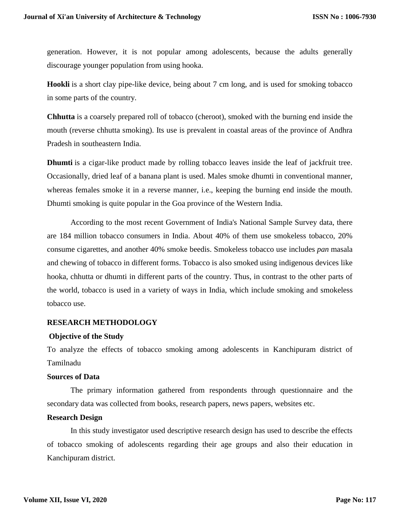generation. However, it is not popular among adolescents, because the adults generally discourage younger population from using hooka.

**Hookli** is a short clay pipe-like device, being about 7 cm long, and is used for smoking tobacco in some parts of the country.

**Chhutta** is a coarsely prepared roll of tobacco (cheroot), smoked with the burning end inside the mouth (reverse chhutta smoking). Its use is prevalent in coastal areas of the province of Andhra Pradesh in southeastern India.

**Dhumti** is a cigar-like product made by rolling tobacco leaves inside the leaf of jackfruit tree. Occasionally, dried leaf of a banana plant is used. Males smoke dhumti in conventional manner, whereas females smoke it in a reverse manner, i.e., keeping the burning end inside the mouth. Dhumti smoking is quite popular in the Goa province of the Western India.

According to the most recent Government of India's National Sample Survey data, there are 184 million tobacco consumers in India. About 40% of them use smokeless tobacco, 20% consume cigarettes, and another 40% smoke beedis. Smokeless tobacco use includes *pan* masala and chewing of tobacco in different forms. Tobacco is also smoked using indigenous devices like hooka, chhutta or dhumti in different parts of the country. Thus, in contrast to the other parts of the world, tobacco is used in a variety of ways in India, which include smoking and smokeless tobacco use.

## **RESEARCH METHODOLOGY**

## **Objective of the Study**

To analyze the effects of tobacco smoking among adolescents in Kanchipuram district of Tamilnadu

## **Sources of Data**

The primary information gathered from respondents through questionnaire and the secondary data was collected from books, research papers, news papers, websites etc.

## **Research Design**

In this study investigator used descriptive research design has used to describe the effects of tobacco smoking of adolescents regarding their age groups and also their education in Kanchipuram district.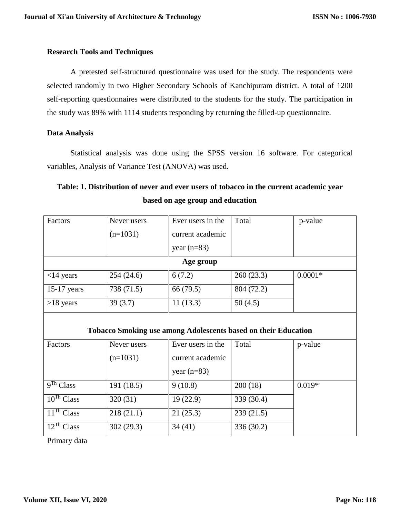## **Research Tools and Techniques**

A pretested self-structured questionnaire was used for the study. The respondents were selected randomly in two Higher Secondary Schools of Kanchipuram district. A total of 1200 self-reporting questionnaires were distributed to the students for the study. The participation in the study was 89% with 1114 students responding by returning the filled-up questionnaire.

## **Data Analysis**

Statistical analysis was done using the SPSS version 16 software. For categorical variables, Analysis of Variance Test (ANOVA) was used.

# **Table: 1. Distribution of never and ever users of tobacco in the current academic year based on age group and education**

| Factors                                                        | Never users | Ever users in the | Total      | p-value   |
|----------------------------------------------------------------|-------------|-------------------|------------|-----------|
|                                                                | $(n=1031)$  | current academic  |            |           |
|                                                                |             | year $(n=83)$     |            |           |
| Age group                                                      |             |                   |            |           |
| $<$ 14 years                                                   | 254(24.6)   | 6(7.2)            | 260(23.3)  | $0.0001*$ |
| $15-17$ years                                                  | 738 (71.5)  | 66 (79.5)         | 804 (72.2) |           |
| $>18$ years                                                    | 39(3.7)     | 11(13.3)          | 50(4.5)    |           |
|                                                                |             |                   |            |           |
| Tobacco Smoking use among Adolescents based on their Education |             |                   |            |           |
| Factors                                                        | Never users | Ever users in the | Total      | p-value   |
|                                                                | $(n=1031)$  | current academic  |            |           |
|                                                                |             | year $(n=83)$     |            |           |
| 9 <sup>Th</sup> Class                                          | 191(18.5)   | 9(10.8)           | 200(18)    | $0.019*$  |
| $\overline{1}0^{Th}$ Class                                     | 320(31)     | 19(22.9)          | 339 (30.4) |           |
| $11$ <sup>Th</sup> Class                                       | 218(21.1)   | 21(25.3)          | 239(21.5)  |           |
| $12^{Th}$ Class                                                | 302(29.3)   | 34(41)            | 336 (30.2) |           |

Primary data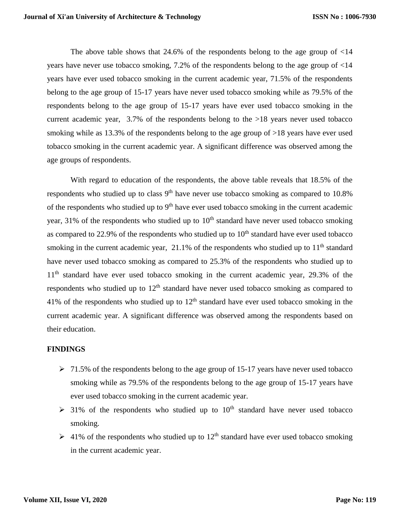The above table shows that  $24.6\%$  of the respondents belong to the age group of  $\leq 14$ years have never use tobacco smoking, 7.2% of the respondents belong to the age group of <14 years have ever used tobacco smoking in the current academic year, 71.5% of the respondents belong to the age group of 15-17 years have never used tobacco smoking while as 79.5% of the respondents belong to the age group of 15-17 years have ever used tobacco smoking in the current academic year, 3.7% of the respondents belong to the >18 years never used tobacco smoking while as 13.3% of the respondents belong to the age group of >18 years have ever used tobacco smoking in the current academic year. A significant difference was observed among the age groups of respondents.

With regard to education of the respondents, the above table reveals that 18.5% of the respondents who studied up to class 9<sup>th</sup> have never use tobacco smoking as compared to 10.8% of the respondents who studied up to  $9<sup>th</sup>$  have ever used tobacco smoking in the current academic year,  $31\%$  of the respondents who studied up to  $10<sup>th</sup>$  standard have never used tobacco smoking as compared to 22.9% of the respondents who studied up to  $10<sup>th</sup>$  standard have ever used tobacco smoking in the current academic year,  $21.1\%$  of the respondents who studied up to  $11<sup>th</sup>$  standard have never used tobacco smoking as compared to 25.3% of the respondents who studied up to  $11<sup>th</sup>$  standard have ever used tobacco smoking in the current academic year, 29.3% of the respondents who studied up to  $12<sup>th</sup>$  standard have never used tobacco smoking as compared to 41% of the respondents who studied up to  $12<sup>th</sup>$  standard have ever used tobacco smoking in the current academic year. A significant difference was observed among the respondents based on their education.

## **FINDINGS**

- $\geq 71.5\%$  of the respondents belong to the age group of 15-17 years have never used tobacco smoking while as 79.5% of the respondents belong to the age group of 15-17 years have ever used tobacco smoking in the current academic year.
- $\geq$  31% of the respondents who studied up to 10<sup>th</sup> standard have never used tobacco smoking.
- $\geq 41\%$  of the respondents who studied up to  $12<sup>th</sup>$  standard have ever used tobacco smoking in the current academic year.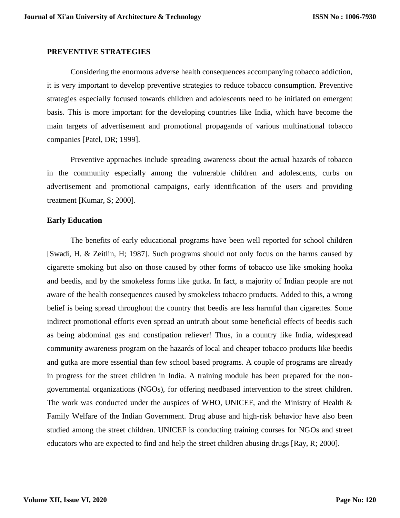#### **PREVENTIVE STRATEGIES**

Considering the enormous adverse health consequences accompanying tobacco addiction, it is very important to develop preventive strategies to reduce tobacco consumption. Preventive strategies especially focused towards children and adolescents need to be initiated on emergent basis. This is more important for the developing countries like India, which have become the main targets of advertisement and promotional propaganda of various multinational tobacco companies [Patel, DR; 1999].

Preventive approaches include spreading awareness about the actual hazards of tobacco in the community especially among the vulnerable children and adolescents, curbs on advertisement and promotional campaigns, early identification of the users and providing treatment [Kumar, S; 2000].

#### **Early Education**

The benefits of early educational programs have been well reported for school children [Swadi, H. & Zeitlin, H; 1987]. Such programs should not only focus on the harms caused by cigarette smoking but also on those caused by other forms of tobacco use like smoking hooka and beedis, and by the smokeless forms like gutka. In fact, a majority of Indian people are not aware of the health consequences caused by smokeless tobacco products. Added to this, a wrong belief is being spread throughout the country that beedis are less harmful than cigarettes. Some indirect promotional efforts even spread an untruth about some beneficial effects of beedis such as being abdominal gas and constipation reliever! Thus, in a country like India, widespread community awareness program on the hazards of local and cheaper tobacco products like beedis and gutka are more essential than few school based programs. A couple of programs are already in progress for the street children in India. A training module has been prepared for the nongovernmental organizations (NGOs), for offering needbased intervention to the street children. The work was conducted under the auspices of WHO, UNICEF, and the Ministry of Health & Family Welfare of the Indian Government. Drug abuse and high-risk behavior have also been studied among the street children. UNICEF is conducting training courses for NGOs and street educators who are expected to find and help the street children abusing drugs [Ray, R; 2000].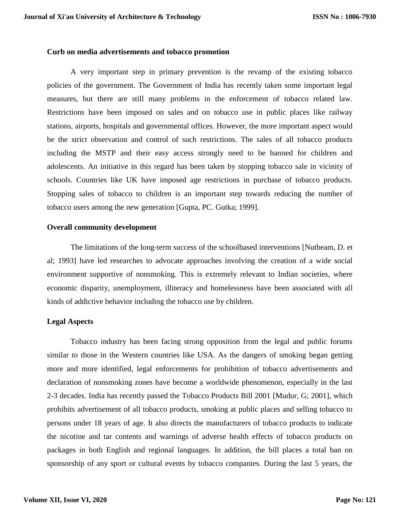### **Curb on media advertisements and tobacco promotion**

A very important step in primary prevention is the revamp of the existing tobacco policies of the government. The Government of India has recently taken some important legal measures, but there are still many problems in the enforcement of tobacco related law. Restrictions have been imposed on sales and on tobacco use in public places like railway stations, airports, hospitals and governmental offices. However, the more important aspect would be the strict observation and control of such restrictions. The sales of all tobacco products including the MSTP and their easy access strongly need to be banned for children and adolescents. An initiative in this regard has been taken by stopping tobacco sale in vicinity of schools. Countries like UK have imposed age restrictions in purchase of tobacco products. Stopping sales of tobacco to children is an important step towards reducing the number of tobacco users among the new generation [Gupta, PC. Gutka; 1999].

## **Overall community development**

The limitations of the long-term success of the schoolbased interventions [Nutbeam, D. et al; 1993] have led researches to advocate approaches involving the creation of a wide social environment supportive of nonsmoking. This is extremely relevant to Indian societies, where economic disparity, unemployment, illiteracy and homelessness have been associated with all kinds of addictive behavior including the tobacco use by children.

## **Legal Aspects**

Tobacco industry has been facing strong opposition from the legal and public forums similar to those in the Western countries like USA. As the dangers of smoking began getting more and more identified, legal enforcements for prohibition of tobacco advertisements and declaration of nonsmoking zones have become a worldwide phenomenon, especially in the last 2-3 decades. India has recently passed the Tobacco Products Bill 2001 [Mudur, G; 2001], which prohibits advertisement of all tobacco products, smoking at public places and selling tobacco to persons under 18 years of age. It also directs the manufacturers of tobacco products to indicate the nicotine and tar contents and warnings of adverse health effects of tobacco products on packages in both English and regional languages. In addition, the bill places a total ban on sponsorship of any sport or cultural events by tobacco companies. During the last 5 years, the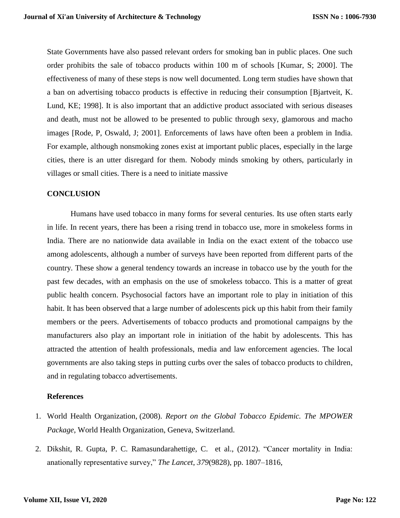State Governments have also passed relevant orders for smoking ban in public places. One such order prohibits the sale of tobacco products within 100 m of schools [Kumar, S; 2000]. The effectiveness of many of these steps is now well documented. Long term studies have shown that a ban on advertising tobacco products is effective in reducing their consumption [Bjartveit, K. Lund, KE; 1998]. It is also important that an addictive product associated with serious diseases and death, must not be allowed to be presented to public through sexy, glamorous and macho images [Rode, P, Oswald, J; 2001]. Enforcements of laws have often been a problem in India. For example, although nonsmoking zones exist at important public places, especially in the large cities, there is an utter disregard for them. Nobody minds smoking by others, particularly in villages or small cities. There is a need to initiate massive

## **CONCLUSION**

Humans have used tobacco in many forms for several centuries. Its use often starts early in life. In recent years, there has been a rising trend in tobacco use, more in smokeless forms in India. There are no nationwide data available in India on the exact extent of the tobacco use among adolescents, although a number of surveys have been reported from different parts of the country. These show a general tendency towards an increase in tobacco use by the youth for the past few decades, with an emphasis on the use of smokeless tobacco. This is a matter of great public health concern. Psychosocial factors have an important role to play in initiation of this habit. It has been observed that a large number of adolescents pick up this habit from their family members or the peers. Advertisements of tobacco products and promotional campaigns by the manufacturers also play an important role in initiation of the habit by adolescents. This has attracted the attention of health professionals, media and law enforcement agencies. The local governments are also taking steps in putting curbs over the sales of tobacco products to children, and in regulating tobacco advertisements.

## **References**

- 1. World Health Organization, (2008). *Report on the Global Tobacco Epidemic. The MPOWER Package*, World Health Organization, Geneva, Switzerland.
- 2. Dikshit, R. Gupta, P. C. Ramasundarahettige, C. et al., (2012). "Cancer mortality in India: anationally representative survey," *The Lancet*, *379*(9828), pp. 1807–1816,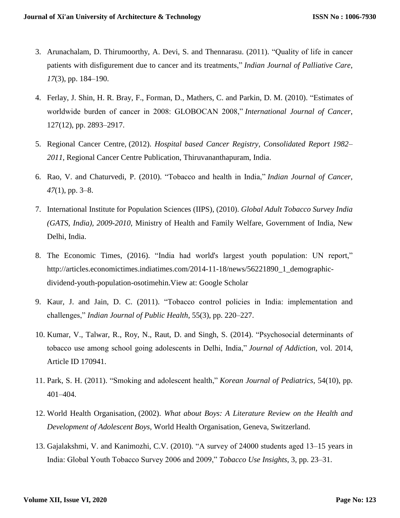- 3. Arunachalam, D. Thirumoorthy, A. Devi, S. and Thennarasu. (2011). "Quality of life in cancer patients with disfigurement due to cancer and its treatments," *Indian Journal of Palliative Care*, *17*(3), pp. 184–190.
- 4. Ferlay, J. Shin, H. R. Bray, F., Forman, D., Mathers, C. and Parkin, D. M. (2010). "Estimates of worldwide burden of cancer in 2008: GLOBOCAN 2008," *International Journal of Cancer*, 127(12), pp. 2893–2917.
- 5. Regional Cancer Centre, (2012). *Hospital based Cancer Registry, Consolidated Report 1982– 2011*, Regional Cancer Centre Publication, Thiruvananthapuram, India.
- 6. Rao, V. and Chaturvedi, P. (2010). "Tobacco and health in India," *Indian Journal of Cancer*, *47*(1), pp. 3–8.
- 7. International Institute for Population Sciences (IIPS), (2010). *Global Adult Tobacco Survey India (GATS, India), 2009-2010*, Ministry of Health and Family Welfare, Government of India, New Delhi, India.
- 8. The Economic Times, (2016). "India had world's largest youth population: UN report," [http://articles.economictimes.indiatimes.com/2014-11-18/news/56221890\\_1\\_demographic](http://articles.economictimes.indiatimes.com/2014-11-18/news/56221890_1_demographic-dividend-youth-population-osotimehin)[dividend-youth-population-osotimehin.](http://articles.economictimes.indiatimes.com/2014-11-18/news/56221890_1_demographic-dividend-youth-population-osotimehin)View at: [Google Scholar](https://scholar.google.com/scholar_lookup?title=India%20had%20world%27s%20largest%20youth%20population:%20UN%20report&author=%20The%20Economic%20Times)
- 9. Kaur, J. and Jain, D. C. (2011). "Tobacco control policies in India: implementation and challenges," *Indian Journal of Public Health*, 55(3), pp. 220–227.
- 10. Kumar, V., Talwar, R., Roy, N., Raut, D. and Singh, S. (2014). "Psychosocial determinants of tobacco use among school going adolescents in Delhi, India," *Journal of Addiction*, vol. 2014, Article ID 170941.
- 11. Park, S. H. (2011). "Smoking and adolescent health," *Korean Journal of Pediatrics*, 54(10), pp. 401–404.
- 12. World Health Organisation, (2002). *What about Boys: A Literature Review on the Health and Development of Adolescent Boys*, World Health Organisation, Geneva, Switzerland.
- 13. Gajalakshmi, V. and Kanimozhi, C.V. (2010). "A survey of 24000 students aged 13–15 years in India: Global Youth Tobacco Survey 2006 and 2009," *Tobacco Use Insights*, 3, pp. 23–31.